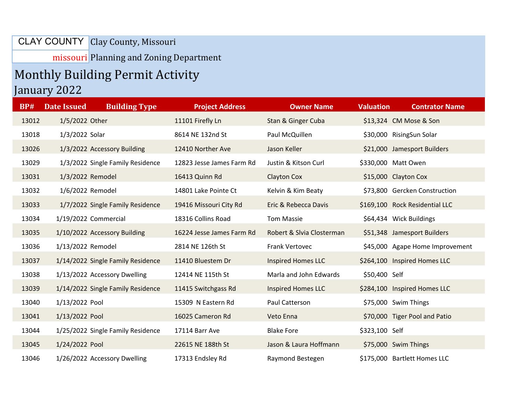CLAY COUNTY | Clay County, Missouri

missouri Planning and Zoning Department

## Monthly Building Permit Activity January 2022

| <b>BP#</b> | <b>Date Issued</b> | <b>Building Type</b>              | <b>Project Address</b>    | <b>Owner Name</b>         | <b>Valuation</b> | <b>Contrator Name</b>           |
|------------|--------------------|-----------------------------------|---------------------------|---------------------------|------------------|---------------------------------|
| 13012      | 1/5/2022 Other     |                                   | 11101 Firefly Ln          | Stan & Ginger Cuba        |                  | \$13,324 CM Mose & Son          |
| 13018      | 1/3/2022 Solar     |                                   | 8614 NE 132nd St          | Paul McQuillen            |                  | \$30,000 RisingSun Solar        |
| 13026      |                    | 1/3/2022 Accessory Building       | 12410 Norther Ave         | Jason Keller              |                  | \$21,000 Jamesport Builders     |
| 13029      |                    | 1/3/2022 Single Family Residence  | 12823 Jesse James Farm Rd | Justin & Kitson Curl      |                  | \$330,000 Matt Owen             |
| 13031      | 1/3/2022 Remodel   |                                   | 16413 Quinn Rd            | Clayton Cox               |                  | \$15,000 Clayton Cox            |
| 13032      | 1/6/2022 Remodel   |                                   | 14801 Lake Pointe Ct      | Kelvin & Kim Beaty        |                  | \$73,800 Gercken Construction   |
| 13033      |                    | 1/7/2022 Single Family Residence  | 19416 Missouri City Rd    | Eric & Rebecca Davis      |                  | \$169,100 Rock Residential LLC  |
| 13034      |                    | 1/19/2022 Commercial              | 18316 Collins Road        | <b>Tom Massie</b>         |                  | \$64,434 Wick Buildings         |
| 13035      |                    | 1/10/2022 Accessory Building      | 16224 Jesse James Farm Rd | Robert & Slvia Closterman |                  | \$51,348 Jamesport Builders     |
| 13036      | 1/13/2022 Remodel  |                                   | 2814 NE 126th St          | Frank Vertovec            |                  | \$45,000 Agape Home Improvement |
| 13037      |                    | 1/14/2022 Single Family Residence | 11410 Bluestem Dr         | <b>Inspired Homes LLC</b> |                  | \$264,100 Inspired Homes LLC    |
| 13038      |                    | 1/13/2022 Accessory Dwelling      | 12414 NE 115th St         | Marla and John Edwards    | \$50,400 Self    |                                 |
| 13039      |                    | 1/14/2022 Single Family Residence | 11415 Switchgass Rd       | <b>Inspired Homes LLC</b> |                  | \$284,100 Inspired Homes LLC    |
| 13040      | 1/13/2022 Pool     |                                   | 15309 N Eastern Rd        | Paul Catterson            |                  | \$75,000 Swim Things            |
| 13041      | 1/13/2022 Pool     |                                   | 16025 Cameron Rd          | Veto Enna                 |                  | \$70,000 Tiger Pool and Patio   |
| 13044      |                    | 1/25/2022 Single Family Residence | 17114 Barr Ave            | <b>Blake Fore</b>         | \$323,100 Self   |                                 |
| 13045      | 1/24/2022 Pool     |                                   | 22615 NE 188th St         | Jason & Laura Hoffmann    |                  | \$75,000 Swim Things            |
| 13046      |                    | 1/26/2022 Accessory Dwelling      | 17313 Endsley Rd          | Raymond Bestegen          |                  | \$175,000 Bartlett Homes LLC    |